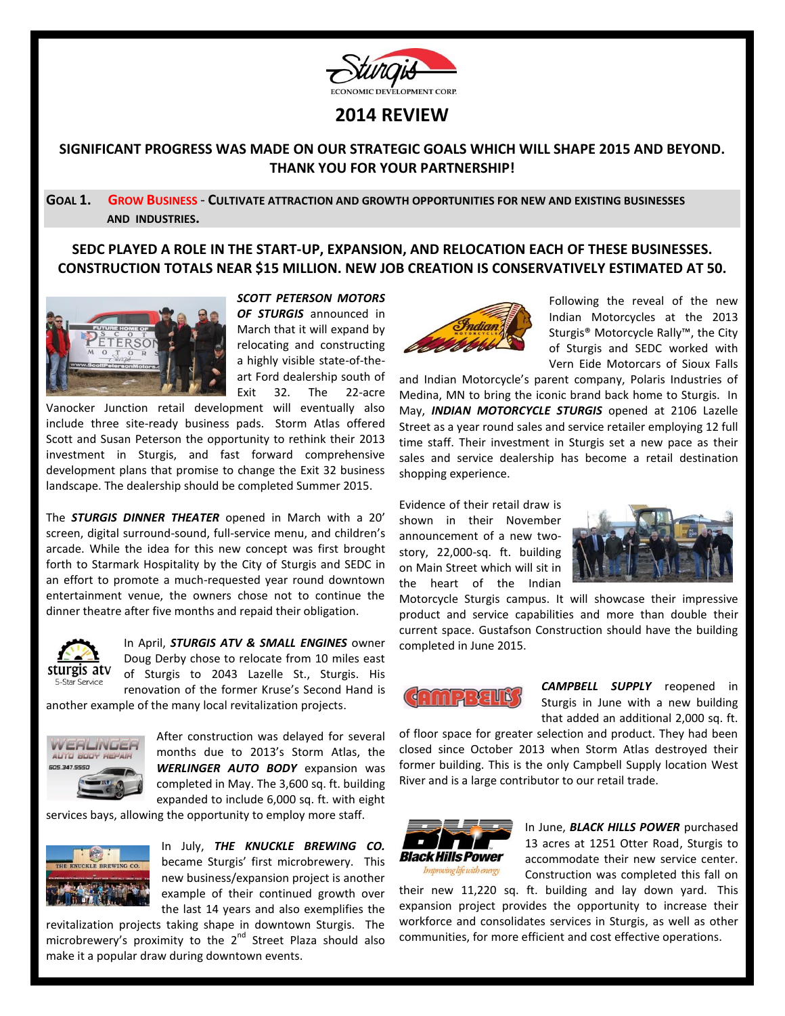

# **2014 REVIEW**

## **SIGNIFICANT PROGRESS WAS MADE ON OUR STRATEGIC GOALS WHICH WILL SHAPE 2015 AND BEYOND. THANK YOU FOR YOUR PARTNERSHIP!**

### **GOAL 1. GROW BUSINESS** - **CULTIVATE ATTRACTION AND GROWTH OPPORTUNITIES FOR NEW AND EXISTING BUSINESSES AND INDUSTRIES.**

### **SEDC PLAYED A ROLE IN THE START-UP, EXPANSION, AND RELOCATION EACH OF THESE BUSINESSES. CONSTRUCTION TOTALS NEAR \$15 MILLION. NEW JOB CREATION IS CONSERVATIVELY ESTIMATED AT 50.**



*SCOTT PETERSON MOTORS OF STURGIS* announced in March that it will expand by relocating and constructing a highly visible state-of-theart Ford dealership south of Exit 32. The 22-acre

Vanocker Junction retail development will eventually also include three site-ready business pads. Storm Atlas offered Scott and Susan Peterson the opportunity to rethink their 2013 investment in Sturgis, and fast forward comprehensive development plans that promise to change the Exit 32 business landscape. The dealership should be completed Summer 2015.

The *STURGIS DINNER THEATER* opened in March with a 20' screen, digital surround-sound, full-service menu, and children's arcade. While the idea for this new concept was first brought forth to Starmark Hospitality by the City of Sturgis and SEDC in an effort to promote a much-requested year round downtown entertainment venue, the owners chose not to continue the dinner theatre after five months and repaid their obligation.



In April, *STURGIS ATV & SMALL ENGINES* owner Doug Derby chose to relocate from 10 miles east of Sturgis to 2043 Lazelle St., Sturgis. His renovation of the former Kruse's Second Hand is

another example of the many local revitalization projects.



After construction was delayed for several months due to 2013's Storm Atlas, the *WERLINGER AUTO BODY* expansion was completed in May. The 3,600 sq. ft. building expanded to include 6,000 sq. ft. with eight

services bays, allowing the opportunity to employ more staff.



In July, *THE KNUCKLE BREWING CO.* became Sturgis' first microbrewery. This new business/expansion project is another example of their continued growth over the last 14 years and also exemplifies the

revitalization projects taking shape in downtown Sturgis. The microbrewery's proximity to the  $2^{nd}$  Street Plaza should also make it a popular draw during downtown events.



Following the reveal of the new Indian Motorcycles at the 2013 Sturgis® Motorcycle Rally™, the City of Sturgis and SEDC worked with Vern Eide Motorcars of Sioux Falls

and Indian Motorcycle's parent company, Polaris Industries of Medina, MN to bring the iconic brand back home to Sturgis. In May, *INDIAN MOTORCYCLE STURGIS* opened at 2106 Lazelle Street as a year round sales and service retailer employing 12 full time staff. Their investment in Sturgis set a new pace as their sales and service dealership has become a retail destination shopping experience.

Evidence of their retail draw is shown in their November announcement of a new twostory, 22,000-sq. ft. building on Main Street which will sit in the heart of the Indian



Motorcycle Sturgis campus. It will showcase their impressive product and service capabilities and more than double their current space. Gustafson Construction should have the building completed in June 2015.



*CAMPBELL SUPPLY* reopened in Sturgis in June with a new building that added an additional 2,000 sq. ft.

of floor space for greater selection and product. They had been closed since October 2013 when Storm Atlas destroyed their former building. This is the only Campbell Supply location West River and is a large contributor to our retail trade.



In June, *BLACK HILLS POWER* purchased 13 acres at 1251 Otter Road, Sturgis to accommodate their new service center. Construction was completed this fall on

their new 11,220 sq. ft. building and lay down yard. This expansion project provides the opportunity to increase their workforce and consolidates services in Sturgis, as well as other communities, for more efficient and cost effective operations.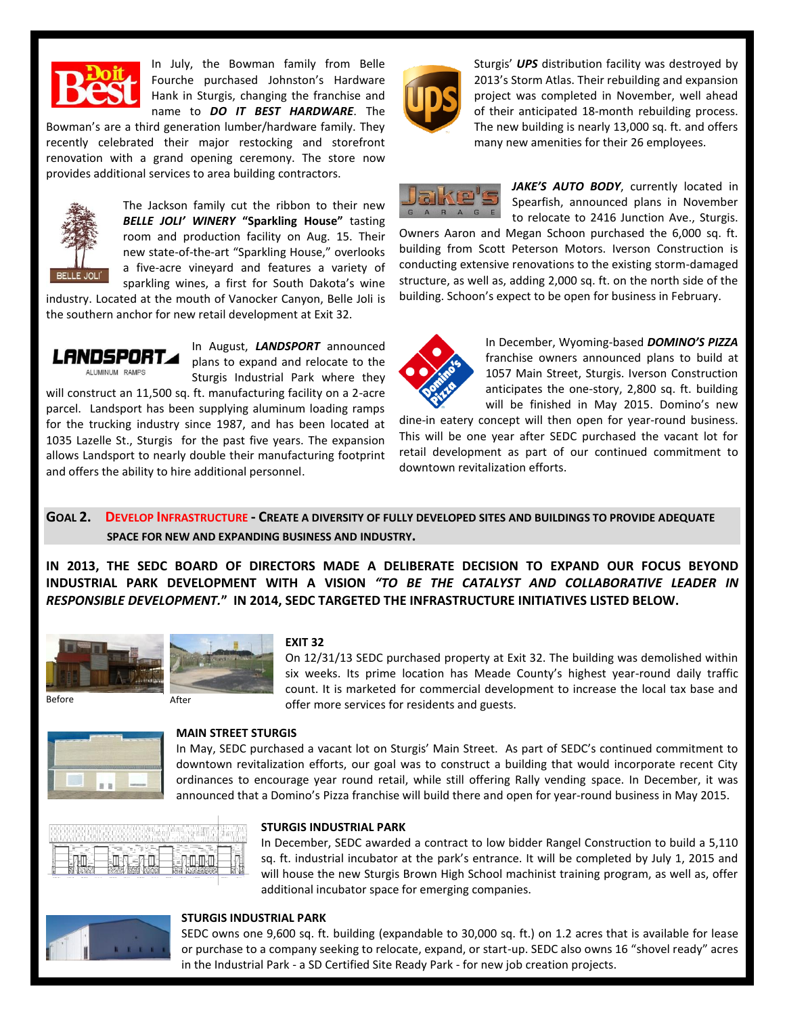

In July, the Bowman family from Belle Fourche purchased Johnston's Hardware Hank in Sturgis, changing the franchise and name to *DO IT BEST HARDWARE*. The

Bowman's are a third generation lumber/hardware family. They recently celebrated their major restocking and storefront renovation with a grand opening ceremony. The store now provides additional services to area building contractors.



The Jackson family cut the ribbon to their new *BELLE JOLI' WINERY* **"Sparkling House"** tasting room and production facility on Aug. 15. Their new state-of-the-art "Sparkling House," overlooks a five-acre vineyard and features a variety of sparkling wines, a first for South Dakota's wine

industry. Located at the mouth of Vanocker Canyon, Belle Joli is the southern anchor for new retail development at Exit 32.



In August, *LANDSPORT* announced plans to expand and relocate to the Sturgis Industrial Park where they

will construct an 11,500 sq. ft. manufacturing facility on a 2-acre parcel. Landsport has been supplying aluminum loading ramps for the trucking industry since 1987, and has been located at 1035 Lazelle St., Sturgis for the past five years. The expansion allows Landsport to nearly double their manufacturing footprint and offers the ability to hire additional personnel.



Sturgis' *UPS* distribution facility was destroyed by 2013's Storm Atlas. Their rebuilding and expansion project was completed in November, well ahead of their anticipated 18-month rebuilding process. The new building is nearly 13,000 sq. ft. and offers many new amenities for their 26 employees.



JAKE'S AUTO BODY, currently located in Spearfish, announced plans in November to relocate to 2416 Junction Ave., Sturgis.

Owners Aaron and Megan Schoon purchased the 6,000 sq. ft. building from Scott Peterson Motors. Iverson Construction is conducting extensive renovations to the existing storm-damaged structure, as well as, adding 2,000 sq. ft. on the north side of the building. Schoon's expect to be open for business in February.



In December, Wyoming-based *DOMINO'S PIZZA* franchise owners announced plans to build at 1057 Main Street, Sturgis. Iverson Construction anticipates the one-story, 2,800 sq. ft. building will be finished in May 2015. Domino's new

dine-in eatery concept will then open for year-round business. This will be one year after SEDC purchased the vacant lot for retail development as part of our continued commitment to downtown revitalization efforts.

### **GOAL 2. DEVELOP INFRASTRUCTURE - CREATE A DIVERSITY OF FULLY DEVELOPED SITES AND BUILDINGS TO PROVIDE ADEQUATE SPACE FOR NEW AND EXPANDING BUSINESS AND INDUSTRY.**

**IN 2013, THE SEDC BOARD OF DIRECTORS MADE A DELIBERATE DECISION TO EXPAND OUR FOCUS BEYOND INDUSTRIAL PARK DEVELOPMENT WITH A VISION** *"TO BE THE CATALYST AND COLLABORATIVE LEADER IN RESPONSIBLE DEVELOPMENT.***" IN 2014, SEDC TARGETED THE INFRASTRUCTURE INITIATIVES LISTED BELOW.** 





#### **EXIT 32**

On 12/31/13 SEDC purchased property at Exit 32. The building was demolished within six weeks. Its prime location has Meade County's highest year-round daily traffic count. It is marketed for commercial development to increase the local tax base and offer more services for residents and guests.



### **MAIN STREET STURGIS**

In May, SEDC purchased a vacant lot on Sturgis' Main Street. As part of SEDC's continued commitment to downtown revitalization efforts, our goal was to construct a building that would incorporate recent City ordinances to encourage year round retail, while still offering Rally vending space. In December, it was announced that a Domino's Pizza franchise will build there and open for year-round business in May 2015.



### **STURGIS INDUSTRIAL PARK**

In December, SEDC awarded a contract to low bidder Rangel Construction to build a 5,110 sq. ft. industrial incubator at the park's entrance. It will be completed by July 1, 2015 and will house the new Sturgis Brown High School machinist training program, as well as, offer additional incubator space for emerging companies.



#### **STURGIS INDUSTRIAL PARK**

SEDC owns one 9,600 sq. ft. building (expandable to 30,000 sq. ft.) on 1.2 acres that is available for lease or purchase to a company seeking to relocate, expand, or start-up. SEDC also owns 16 "shovel ready" acres in the Industrial Park - a SD Certified Site Ready Park - for new job creation projects.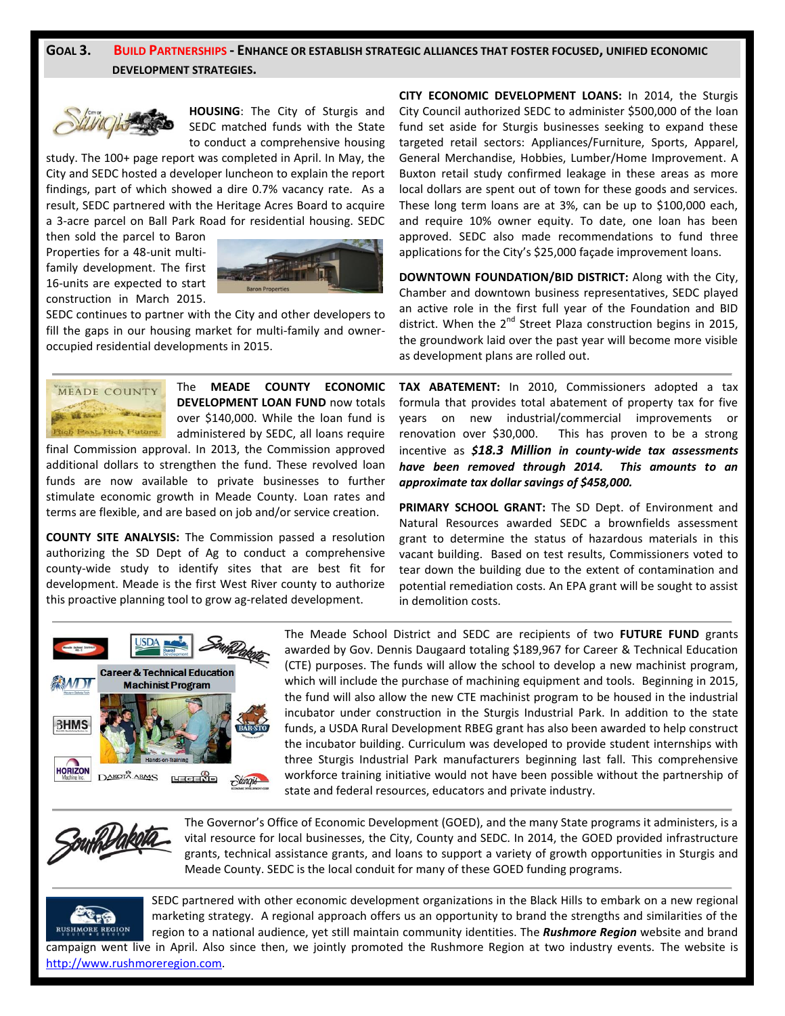## **GOAL 3. BUILD PARTNERSHIPS - ENHANCE OR ESTABLISH STRATEGIC ALLIANCES THAT FOSTER FOCUSED, UNIFIED ECONOMIC DEVELOPMENT STRATEGIES.**



**HOUSING**: The City of Sturgis and SEDC matched funds with the State to conduct a comprehensive housing

study. The 100+ page report was completed in April. In May, the City and SEDC hosted a developer luncheon to explain the report findings, part of which showed a dire 0.7% vacancy rate. As a result, SEDC partnered with the Heritage Acres Board to acquire a 3-acre parcel on Ball Park Road for residential housing. SEDC

then sold the parcel to Baron Properties for a 48-unit multifamily development. The first 16-units are expected to start construction in March 2015.



SEDC continues to partner with the City and other developers to fill the gaps in our housing market for multi-family and owneroccupied residential developments in 2015.



The **MEADE COUNTY ECONOMIC DEVELOPMENT LOAN FUND** now totals over \$140,000. While the loan fund is administered by SEDC, all loans require

final Commission approval. In 2013, the Commission approved additional dollars to strengthen the fund. These revolved loan funds are now available to private businesses to further stimulate economic growth in Meade County. Loan rates and terms are flexible, and are based on job and/or service creation.

**COUNTY SITE ANALYSIS:** The Commission passed a resolution authorizing the SD Dept of Ag to conduct a comprehensive county-wide study to identify sites that are best fit for development. Meade is the first West River county to authorize this proactive planning tool to grow ag-related development.

**CITY ECONOMIC DEVELOPMENT LOANS:** In 2014, the Sturgis City Council authorized SEDC to administer \$500,000 of the loan fund set aside for Sturgis businesses seeking to expand these targeted retail sectors: Appliances/Furniture, Sports, Apparel, General Merchandise, Hobbies, Lumber/Home Improvement. A Buxton retail study confirmed leakage in these areas as more local dollars are spent out of town for these goods and services. These long term loans are at 3%, can be up to \$100,000 each, and require 10% owner equity. To date, one loan has been approved. SEDC also made recommendations to fund three applications for the City's \$25,000 façade improvement loans.

**DOWNTOWN FOUNDATION/BID DISTRICT:** Along with the City, Chamber and downtown business representatives, SEDC played an active role in the first full year of the Foundation and BID district. When the  $2^{nd}$  Street Plaza construction begins in 2015, the groundwork laid over the past year will become more visible as development plans are rolled out.

**TAX ABATEMENT:** In 2010, Commissioners adopted a tax formula that provides total abatement of property tax for five years on new industrial/commercial improvements or renovation over \$30,000. This has proven to be a strong incentive as *\$18.3 Million in county-wide tax assessments have been removed through 2014. This amounts to an approximate tax dollar savings of \$458,000.* 

**PRIMARY SCHOOL GRANT:** The SD Dept. of Environment and Natural Resources awarded SEDC a brownfields assessment grant to determine the status of hazardous materials in this vacant building. Based on test results, Commissioners voted to tear down the building due to the extent of contamination and potential remediation costs. An EPA grant will be sought to assist in demolition costs.



The Meade School District and SEDC are recipients of two **FUTURE FUND** grants awarded by Gov. Dennis Daugaard totaling \$189,967 for Career & Technical Education (CTE) purposes. The funds will allow the school to develop a new machinist program, which will include the purchase of machining equipment and tools. Beginning in 2015, the fund will also allow the new CTE machinist program to be housed in the industrial incubator under construction in the Sturgis Industrial Park. In addition to the state funds, a USDA Rural Development RBEG grant has also been awarded to help construct the incubator building. Curriculum was developed to provide student internships with three Sturgis Industrial Park manufacturers beginning last fall. This comprehensive workforce training initiative would not have been possible without the partnership of state and federal resources, educators and private industry.



The Governor's Office of Economic Development (GOED), and the many State programs it administers, is a vital resource for local businesses, the City, County and SEDC. In 2014, the GOED provided infrastructure grants, technical assistance grants, and loans to support a variety of growth opportunities in Sturgis and Meade County. SEDC is the local conduit for many of these GOED funding programs.



SEDC partnered with other economic development organizations in the Black Hills to embark on a new regional marketing strategy. A regional approach offers us an opportunity to brand the strengths and similarities of the region to a national audience, yet still maintain community identities. The *Rushmore Region* website and brand campaign went live in April. Also since then, we jointly promoted the Rushmore Region at two industry events. The website is

[http://www.rushmoreregion.com.](http://www.rushmoreregion.com/)